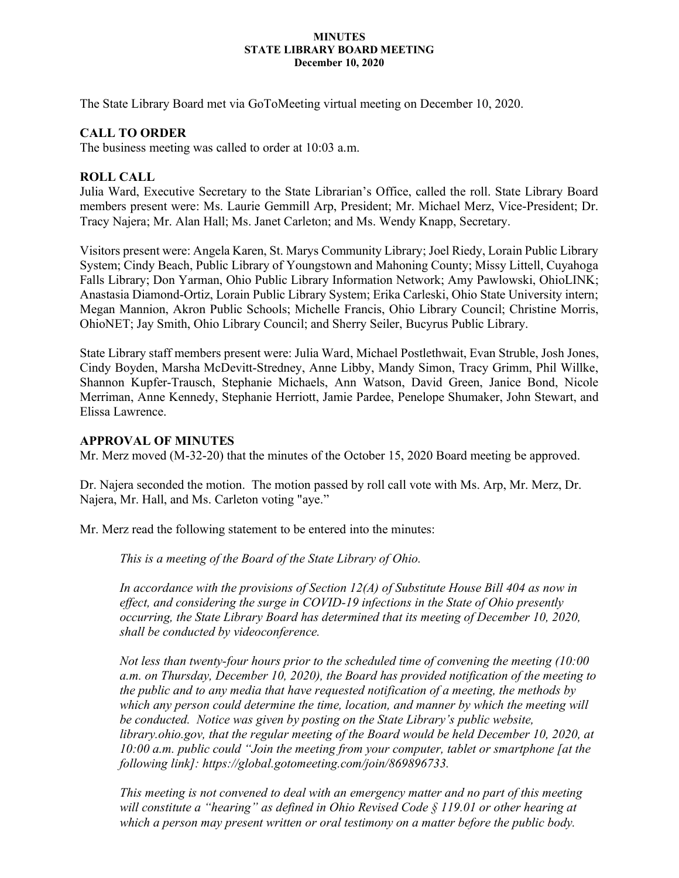#### **MINUTES STATE LIBRARY BOARD MEETING December 10, 2020**

The State Library Board met via GoToMeeting virtual meeting on December 10, 2020.

### **CALL TO ORDER**

The business meeting was called to order at 10:03 a.m.

### **ROLL CALL**

Julia Ward, Executive Secretary to the State Librarian's Office, called the roll. State Library Board members present were: Ms. Laurie Gemmill Arp, President; Mr. Michael Merz, Vice-President; Dr. Tracy Najera; Mr. Alan Hall; Ms. Janet Carleton; and Ms. Wendy Knapp, Secretary.

Visitors present were: Angela Karen, St. Marys Community Library; Joel Riedy, Lorain Public Library System; Cindy Beach, Public Library of Youngstown and Mahoning County; Missy Littell, Cuyahoga Falls Library; Don Yarman, Ohio Public Library Information Network; Amy Pawlowski, OhioLINK; Anastasia Diamond-Ortiz, Lorain Public Library System; Erika Carleski, Ohio State University intern; Megan Mannion, Akron Public Schools; Michelle Francis, Ohio Library Council; Christine Morris, OhioNET; Jay Smith, Ohio Library Council; and Sherry Seiler, Bucyrus Public Library.

State Library staff members present were: Julia Ward, Michael Postlethwait, Evan Struble, Josh Jones, Cindy Boyden, Marsha McDevitt-Stredney, Anne Libby, Mandy Simon, Tracy Grimm, Phil Willke, Shannon Kupfer-Trausch, Stephanie Michaels, Ann Watson, David Green, Janice Bond, Nicole Merriman, Anne Kennedy, Stephanie Herriott, Jamie Pardee, Penelope Shumaker, John Stewart, and Elissa Lawrence.

### **APPROVAL OF MINUTES**

Mr. Merz moved (M-32-20) that the minutes of the October 15, 2020 Board meeting be approved.

Dr. Najera seconded the motion. The motion passed by roll call vote with Ms. Arp, Mr. Merz, Dr. Najera, Mr. Hall, and Ms. Carleton voting "aye."

Mr. Merz read the following statement to be entered into the minutes:

*This is a meeting of the Board of the State Library of Ohio.*

*In accordance with the provisions of Section 12(A) of Substitute House Bill 404 as now in effect, and considering the surge in COVID-19 infections in the State of Ohio presently occurring, the State Library Board has determined that its meeting of December 10, 2020, shall be conducted by videoconference.* 

*Not less than twenty-four hours prior to the scheduled time of convening the meeting (10:00 a.m. on Thursday, December 10, 2020), the Board has provided notification of the meeting to the public and to any media that have requested notification of a meeting, the methods by which any person could determine the time, location, and manner by which the meeting will be conducted. Notice was given by posting on the State Library's public website, library.ohio.gov, that the regular meeting of the Board would be held December 10, 2020, at 10:00 a.m. public could "Join the meeting from your computer, tablet or smartphone [at the following link]: https://global.gotomeeting.com/join/869896733.* 

*This meeting is not convened to deal with an emergency matter and no part of this meeting will constitute a "hearing" as defined in Ohio Revised Code § 119.01 or other hearing at which a person may present written or oral testimony on a matter before the public body.*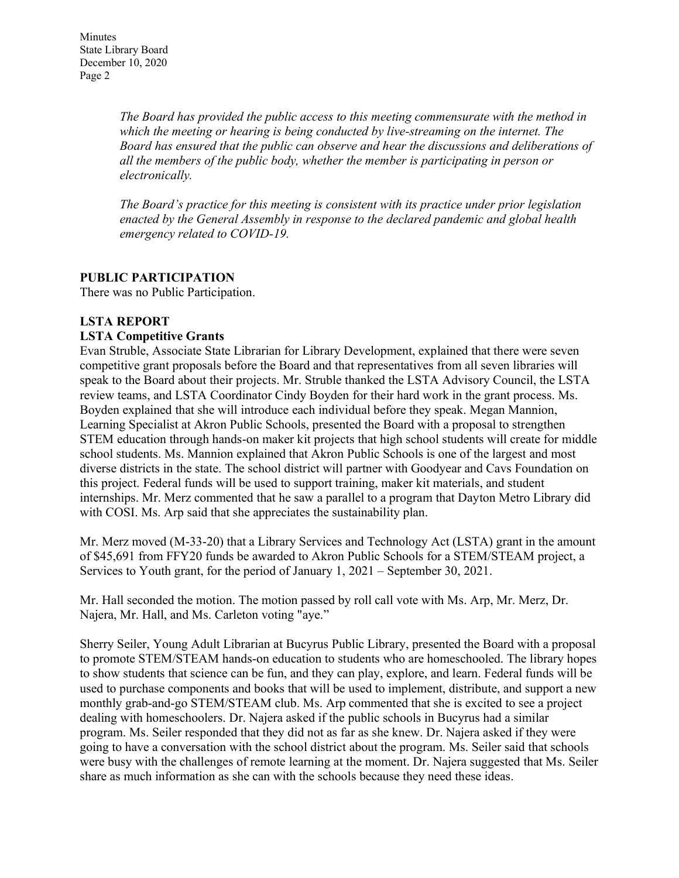*The Board has provided the public access to this meeting commensurate with the method in which the meeting or hearing is being conducted by live-streaming on the internet. The Board has ensured that the public can observe and hear the discussions and deliberations of all the members of the public body, whether the member is participating in person or electronically.*

*The Board's practice for this meeting is consistent with its practice under prior legislation enacted by the General Assembly in response to the declared pandemic and global health emergency related to COVID-19.*

# **PUBLIC PARTICIPATION**

There was no Public Participation.

### **LSTA REPORT**

### **LSTA Competitive Grants**

Evan Struble, Associate State Librarian for Library Development, explained that there were seven competitive grant proposals before the Board and that representatives from all seven libraries will speak to the Board about their projects. Mr. Struble thanked the LSTA Advisory Council, the LSTA review teams, and LSTA Coordinator Cindy Boyden for their hard work in the grant process. Ms. Boyden explained that she will introduce each individual before they speak. Megan Mannion, Learning Specialist at Akron Public Schools, presented the Board with a proposal to strengthen STEM education through hands-on maker kit projects that high school students will create for middle school students. Ms. Mannion explained that Akron Public Schools is one of the largest and most diverse districts in the state. The school district will partner with Goodyear and Cavs Foundation on this project. Federal funds will be used to support training, maker kit materials, and student internships. Mr. Merz commented that he saw a parallel to a program that Dayton Metro Library did with COSI. Ms. Arp said that she appreciates the sustainability plan.

Mr. Merz moved (M-33-20) that a Library Services and Technology Act (LSTA) grant in the amount of \$45,691 from FFY20 funds be awarded to Akron Public Schools for a STEM/STEAM project, a Services to Youth grant, for the period of January 1, 2021 – September 30, 2021.

Mr. Hall seconded the motion. The motion passed by roll call vote with Ms. Arp, Mr. Merz, Dr. Najera, Mr. Hall, and Ms. Carleton voting "aye."

Sherry Seiler, Young Adult Librarian at Bucyrus Public Library, presented the Board with a proposal to promote STEM/STEAM hands-on education to students who are homeschooled. The library hopes to show students that science can be fun, and they can play, explore, and learn. Federal funds will be used to purchase components and books that will be used to implement, distribute, and support a new monthly grab-and-go STEM/STEAM club. Ms. Arp commented that she is excited to see a project dealing with homeschoolers. Dr. Najera asked if the public schools in Bucyrus had a similar program. Ms. Seiler responded that they did not as far as she knew. Dr. Najera asked if they were going to have a conversation with the school district about the program. Ms. Seiler said that schools were busy with the challenges of remote learning at the moment. Dr. Najera suggested that Ms. Seiler share as much information as she can with the schools because they need these ideas.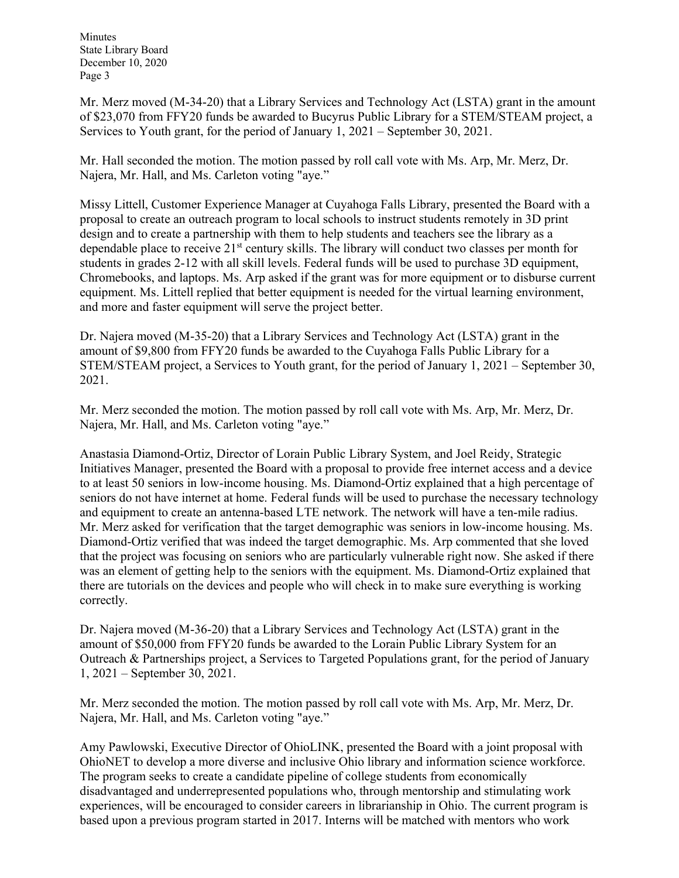Mr. Merz moved (M-34-20) that a Library Services and Technology Act (LSTA) grant in the amount of \$23,070 from FFY20 funds be awarded to Bucyrus Public Library for a STEM/STEAM project, a Services to Youth grant, for the period of January 1, 2021 – September 30, 2021.

Mr. Hall seconded the motion. The motion passed by roll call vote with Ms. Arp, Mr. Merz, Dr. Najera, Mr. Hall, and Ms. Carleton voting "aye."

Missy Littell, Customer Experience Manager at Cuyahoga Falls Library, presented the Board with a proposal to create an outreach program to local schools to instruct students remotely in 3D print design and to create a partnership with them to help students and teachers see the library as a dependable place to receive  $21<sup>st</sup>$  century skills. The library will conduct two classes per month for students in grades 2-12 with all skill levels. Federal funds will be used to purchase 3D equipment, Chromebooks, and laptops. Ms. Arp asked if the grant was for more equipment or to disburse current equipment. Ms. Littell replied that better equipment is needed for the virtual learning environment, and more and faster equipment will serve the project better.

Dr. Najera moved (M-35-20) that a Library Services and Technology Act (LSTA) grant in the amount of \$9,800 from FFY20 funds be awarded to the Cuyahoga Falls Public Library for a STEM/STEAM project, a Services to Youth grant, for the period of January 1, 2021 – September 30, 2021.

Mr. Merz seconded the motion. The motion passed by roll call vote with Ms. Arp, Mr. Merz, Dr. Najera, Mr. Hall, and Ms. Carleton voting "aye."

Anastasia Diamond-Ortiz, Director of Lorain Public Library System, and Joel Reidy, Strategic Initiatives Manager, presented the Board with a proposal to provide free internet access and a device to at least 50 seniors in low-income housing. Ms. Diamond-Ortiz explained that a high percentage of seniors do not have internet at home. Federal funds will be used to purchase the necessary technology and equipment to create an antenna-based LTE network. The network will have a ten-mile radius. Mr. Merz asked for verification that the target demographic was seniors in low-income housing. Ms. Diamond-Ortiz verified that was indeed the target demographic. Ms. Arp commented that she loved that the project was focusing on seniors who are particularly vulnerable right now. She asked if there was an element of getting help to the seniors with the equipment. Ms. Diamond-Ortiz explained that there are tutorials on the devices and people who will check in to make sure everything is working correctly.

Dr. Najera moved (M-36-20) that a Library Services and Technology Act (LSTA) grant in the amount of \$50,000 from FFY20 funds be awarded to the Lorain Public Library System for an Outreach & Partnerships project, a Services to Targeted Populations grant, for the period of January 1, 2021 – September 30, 2021.

Mr. Merz seconded the motion. The motion passed by roll call vote with Ms. Arp, Mr. Merz, Dr. Najera, Mr. Hall, and Ms. Carleton voting "aye."

Amy Pawlowski, Executive Director of OhioLINK, presented the Board with a joint proposal with OhioNET to develop a more diverse and inclusive Ohio library and information science workforce. The program seeks to create a candidate pipeline of college students from economically disadvantaged and underrepresented populations who, through mentorship and stimulating work experiences, will be encouraged to consider careers in librarianship in Ohio. The current program is based upon a previous program started in 2017. Interns will be matched with mentors who work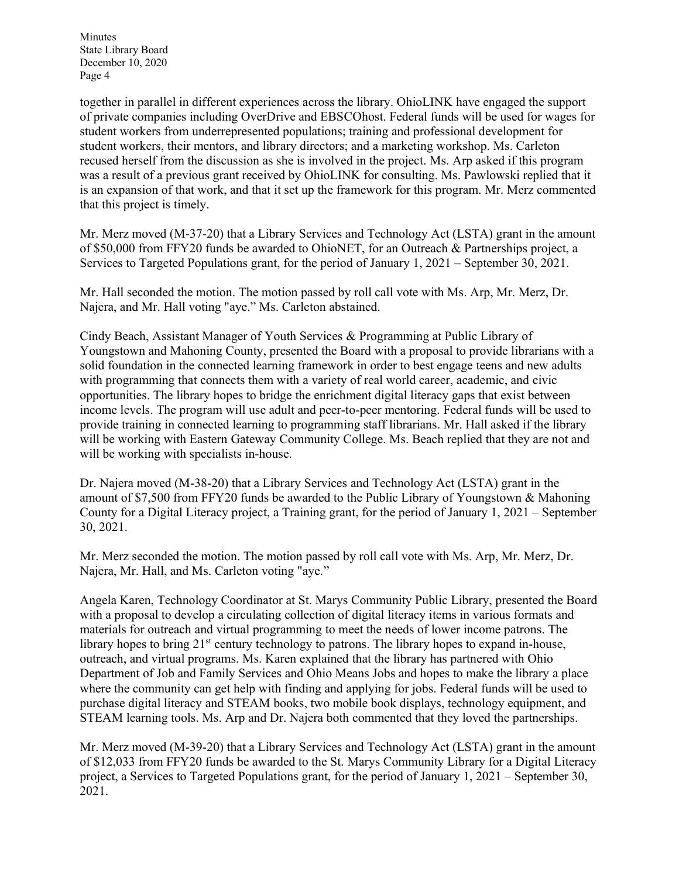together in parallel in different experiences across the library. OhioLINK have engaged the support of private companies including OverDrive and EBSCOhost. Federal funds will be used for wages for student workers from underrepresented populations; training and professional development for student workers, their mentors, and library directors; and a marketing workshop. Ms. Carleton recused herself from the discussion as she is involved in the project. Ms. Arp asked if this program was a result of a previous grant received by OhioLINK for consulting. Ms. Pawlowski replied that it is an expansion of that work, and that it set up the framework for this program. Mr. Merz commented that this project is timely.

Mr. Merz moved (M-37-20) that a Library Services and Technology Act (LSTA) grant in the amount of \$50,000 from FFY20 funds be awarded to OhioNET, for an Outreach & Partnerships project, a Services to Targeted Populations grant, for the period of January 1, 2021 – September 30, 2021.

Mr. Hall seconded the motion. The motion passed by roll call vote with Ms. Arp, Mr. Merz, Dr. Najera, and Mr. Hall voting "aye." Ms. Carleton abstained.

Cindy Beach, Assistant Manager of Youth Services & Programming at Public Library of Youngstown and Mahoning County, presented the Board with a proposal to provide librarians with a solid foundation in the connected learning framework in order to best engage teens and new adults with programming that connects them with a variety of real world career, academic, and civic opportunities. The library hopes to bridge the enrichment digital literacy gaps that exist between income levels. The program will use adult and peer-to-peer mentoring. Federal funds will be used to provide training in connected learning to programming staff librarians. Mr. Hall asked if the library will be working with Eastern Gateway Community College. Ms. Beach replied that they are not and will be working with specialists in-house.

Dr. Najera moved (M-38-20) that a Library Services and Technology Act (LSTA) grant in the amount of \$7,500 from FFY20 funds be awarded to the Public Library of Youngstown & Mahoning County for a Digital Literacy project, a Training grant, for the period of January 1, 2021 – September 30, 2021.

Mr. Merz seconded the motion. The motion passed by roll call vote with Ms. Arp, Mr. Merz, Dr. Najera, Mr. Hall, and Ms. Carleton voting "aye."

Angela Karen, Technology Coordinator at St. Marys Community Public Library, presented the Board with a proposal to develop a circulating collection of digital literacy items in various formats and materials for outreach and virtual programming to meet the needs of lower income patrons. The library hopes to bring  $21<sup>st</sup>$  century technology to patrons. The library hopes to expand in-house, outreach, and virtual programs. Ms. Karen explained that the library has partnered with Ohio Department of Job and Family Services and Ohio Means Jobs and hopes to make the library a place where the community can get help with finding and applying for jobs. Federal funds will be used to purchase digital literacy and STEAM books, two mobile book displays, technology equipment, and STEAM learning tools. Ms. Arp and Dr. Najera both commented that they loved the partnerships.

Mr. Merz moved (M-39-20) that a Library Services and Technology Act (LSTA) grant in the amount of \$12,033 from FFY20 funds be awarded to the St. Marys Community Library for a Digital Literacy project, a Services to Targeted Populations grant, for the period of January 1, 2021 – September 30, 2021.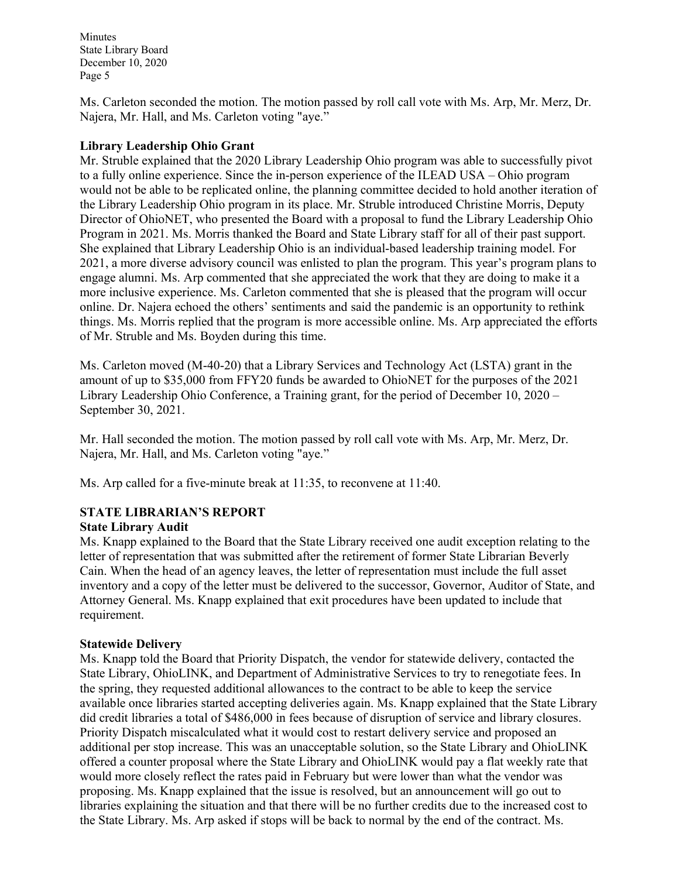Ms. Carleton seconded the motion. The motion passed by roll call vote with Ms. Arp, Mr. Merz, Dr. Najera, Mr. Hall, and Ms. Carleton voting "aye."

### **Library Leadership Ohio Grant**

Mr. Struble explained that the 2020 Library Leadership Ohio program was able to successfully pivot to a fully online experience. Since the in-person experience of the ILEAD USA – Ohio program would not be able to be replicated online, the planning committee decided to hold another iteration of the Library Leadership Ohio program in its place. Mr. Struble introduced Christine Morris, Deputy Director of OhioNET, who presented the Board with a proposal to fund the Library Leadership Ohio Program in 2021. Ms. Morris thanked the Board and State Library staff for all of their past support. She explained that Library Leadership Ohio is an individual-based leadership training model. For 2021, a more diverse advisory council was enlisted to plan the program. This year's program plans to engage alumni. Ms. Arp commented that she appreciated the work that they are doing to make it a more inclusive experience. Ms. Carleton commented that she is pleased that the program will occur online. Dr. Najera echoed the others' sentiments and said the pandemic is an opportunity to rethink things. Ms. Morris replied that the program is more accessible online. Ms. Arp appreciated the efforts of Mr. Struble and Ms. Boyden during this time.

Ms. Carleton moved (M-40-20) that a Library Services and Technology Act (LSTA) grant in the amount of up to \$35,000 from FFY20 funds be awarded to OhioNET for the purposes of the 2021 Library Leadership Ohio Conference, a Training grant, for the period of December 10, 2020 – September 30, 2021.

Mr. Hall seconded the motion. The motion passed by roll call vote with Ms. Arp, Mr. Merz, Dr. Najera, Mr. Hall, and Ms. Carleton voting "aye."

Ms. Arp called for a five-minute break at 11:35, to reconvene at 11:40.

# **STATE LIBRARIAN'S REPORT**

### **State Library Audit**

Ms. Knapp explained to the Board that the State Library received one audit exception relating to the letter of representation that was submitted after the retirement of former State Librarian Beverly Cain. When the head of an agency leaves, the letter of representation must include the full asset inventory and a copy of the letter must be delivered to the successor, Governor, Auditor of State, and Attorney General. Ms. Knapp explained that exit procedures have been updated to include that requirement.

#### **Statewide Delivery**

Ms. Knapp told the Board that Priority Dispatch, the vendor for statewide delivery, contacted the State Library, OhioLINK, and Department of Administrative Services to try to renegotiate fees. In the spring, they requested additional allowances to the contract to be able to keep the service available once libraries started accepting deliveries again. Ms. Knapp explained that the State Library did credit libraries a total of \$486,000 in fees because of disruption of service and library closures. Priority Dispatch miscalculated what it would cost to restart delivery service and proposed an additional per stop increase. This was an unacceptable solution, so the State Library and OhioLINK offered a counter proposal where the State Library and OhioLINK would pay a flat weekly rate that would more closely reflect the rates paid in February but were lower than what the vendor was proposing. Ms. Knapp explained that the issue is resolved, but an announcement will go out to libraries explaining the situation and that there will be no further credits due to the increased cost to the State Library. Ms. Arp asked if stops will be back to normal by the end of the contract. Ms.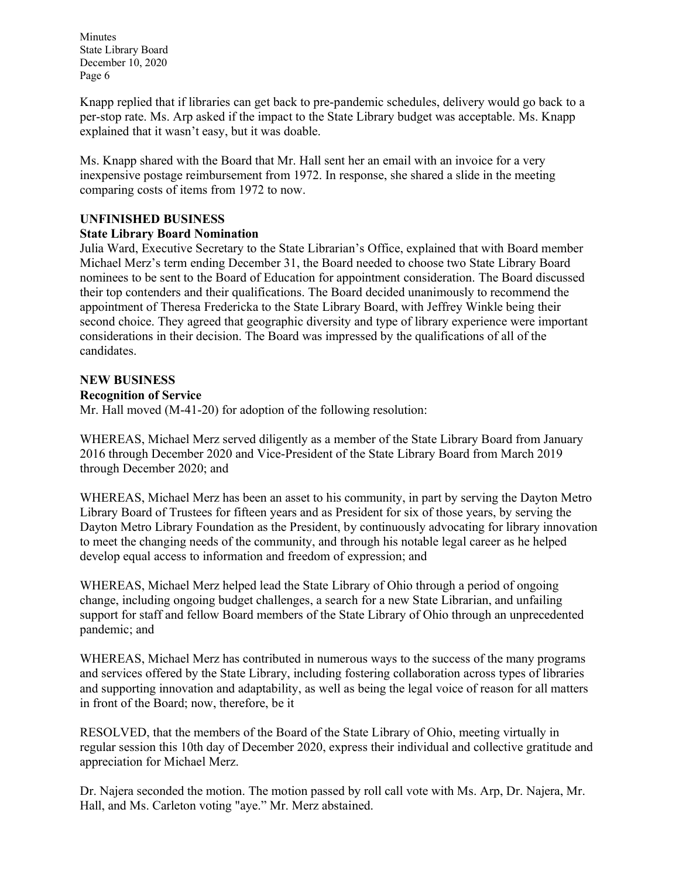Knapp replied that if libraries can get back to pre-pandemic schedules, delivery would go back to a per-stop rate. Ms. Arp asked if the impact to the State Library budget was acceptable. Ms. Knapp explained that it wasn't easy, but it was doable.

Ms. Knapp shared with the Board that Mr. Hall sent her an email with an invoice for a very inexpensive postage reimbursement from 1972. In response, she shared a slide in the meeting comparing costs of items from 1972 to now.

# **UNFINISHED BUSINESS**

### **State Library Board Nomination**

Julia Ward, Executive Secretary to the State Librarian's Office, explained that with Board member Michael Merz's term ending December 31, the Board needed to choose two State Library Board nominees to be sent to the Board of Education for appointment consideration. The Board discussed their top contenders and their qualifications. The Board decided unanimously to recommend the appointment of Theresa Fredericka to the State Library Board, with Jeffrey Winkle being their second choice. They agreed that geographic diversity and type of library experience were important considerations in their decision. The Board was impressed by the qualifications of all of the candidates.

# **NEW BUSINESS**

**Recognition of Service**

Mr. Hall moved (M-41-20) for adoption of the following resolution:

WHEREAS, Michael Merz served diligently as a member of the State Library Board from January 2016 through December 2020 and Vice-President of the State Library Board from March 2019 through December 2020; and

WHEREAS, Michael Merz has been an asset to his community, in part by serving the Dayton Metro Library Board of Trustees for fifteen years and as President for six of those years, by serving the Dayton Metro Library Foundation as the President, by continuously advocating for library innovation to meet the changing needs of the community, and through his notable legal career as he helped develop equal access to information and freedom of expression; and

WHEREAS, Michael Merz helped lead the State Library of Ohio through a period of ongoing change, including ongoing budget challenges, a search for a new State Librarian, and unfailing support for staff and fellow Board members of the State Library of Ohio through an unprecedented pandemic; and

WHEREAS, Michael Merz has contributed in numerous ways to the success of the many programs and services offered by the State Library, including fostering collaboration across types of libraries and supporting innovation and adaptability, as well as being the legal voice of reason for all matters in front of the Board; now, therefore, be it

RESOLVED, that the members of the Board of the State Library of Ohio, meeting virtually in regular session this 10th day of December 2020, express their individual and collective gratitude and appreciation for Michael Merz.

Dr. Najera seconded the motion. The motion passed by roll call vote with Ms. Arp, Dr. Najera, Mr. Hall, and Ms. Carleton voting "aye." Mr. Merz abstained.